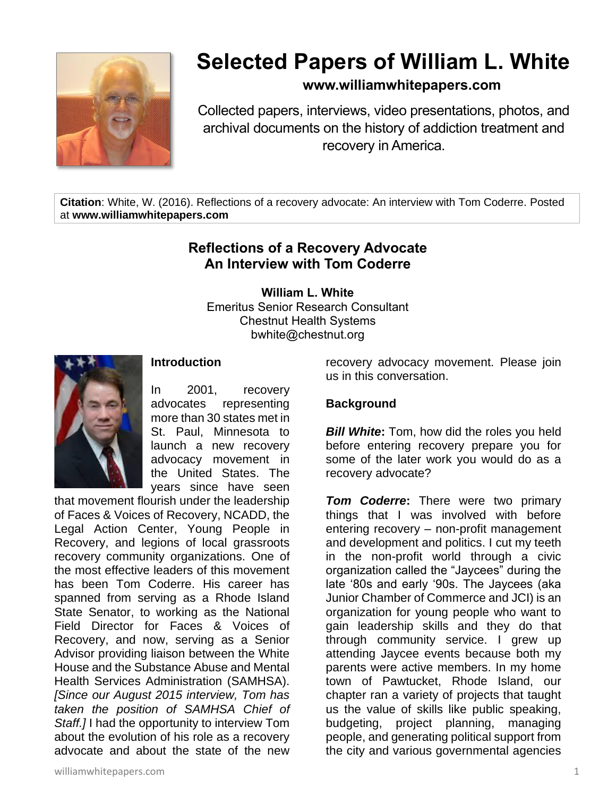

# **Selected Papers of William L. White**

# **www.williamwhitepapers.com**

Collected papers, interviews, video presentations, photos, and archival documents on the history of addiction treatment and recovery in America.

**Citation**: White, W. (2016). Reflections of a recovery advocate: An interview with Tom Coderre. Posted at **www.williamwhitepapers.com**

# **Reflections of a Recovery Advocate An Interview with Tom Coderre**

**William L. White**

Emeritus Senior Research Consultant Chestnut Health Systems bwhite@chestnut.org



## **Introduction**

In 2001, recovery advocates representing more than 30 states met in St. Paul, Minnesota to launch a new recovery advocacy movement in the United States. The years since have seen

that movement flourish under the leadership of Faces & Voices of Recovery, NCADD, the Legal Action Center, Young People in Recovery, and legions of local grassroots recovery community organizations. One of the most effective leaders of this movement has been Tom Coderre. His career has spanned from serving as a Rhode Island State Senator, to working as the National Field Director for Faces & Voices of Recovery, and now, serving as a Senior Advisor providing liaison between the White House and the Substance Abuse and Mental Health Services Administration (SAMHSA). *[Since our August 2015 interview, Tom has taken the position of SAMHSA Chief of Staff.]* I had the opportunity to interview Tom about the evolution of his role as a recovery advocate and about the state of the new

recovery advocacy movement. Please join us in this conversation.

## **Background**

*Bill White***:** Tom, how did the roles you held before entering recovery prepare you for some of the later work you would do as a recovery advocate?

*Tom Coderre***:** There were two primary things that I was involved with before entering recovery – non-profit management and development and politics. I cut my teeth in the non-profit world through a civic organization called the "Jaycees" during the late '80s and early '90s. The Jaycees (aka Junior Chamber of Commerce and JCI) is an organization for young people who want to gain leadership skills and they do that through community service. I grew up attending Jaycee events because both my parents were active members. In my home town of Pawtucket, Rhode Island, our chapter ran a variety of projects that taught us the value of skills like public speaking, budgeting, project planning, managing people, and generating political support from the city and various governmental agencies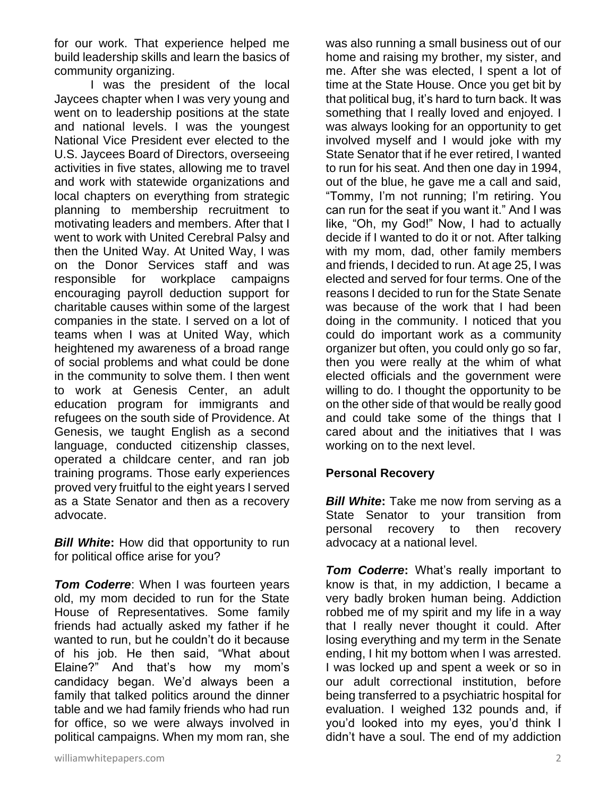for our work. That experience helped me build leadership skills and learn the basics of community organizing.

I was the president of the local Jaycees chapter when I was very young and went on to leadership positions at the state and national levels. I was the youngest National Vice President ever elected to the U.S. Jaycees Board of Directors, overseeing activities in five states, allowing me to travel and work with statewide organizations and local chapters on everything from strategic planning to membership recruitment to motivating leaders and members. After that I went to work with United Cerebral Palsy and then the United Way. At United Way, I was on the Donor Services staff and was responsible for workplace campaigns encouraging payroll deduction support for charitable causes within some of the largest companies in the state. I served on a lot of teams when I was at United Way, which heightened my awareness of a broad range of social problems and what could be done in the community to solve them. I then went to work at Genesis Center, an adult education program for immigrants and refugees on the south side of Providence. At Genesis, we taught English as a second language, conducted citizenship classes, operated a childcare center, and ran job training programs. Those early experiences proved very fruitful to the eight years I served as a State Senator and then as a recovery advocate.

*Bill White***:** How did that opportunity to run for political office arise for you?

*Tom Coderre: When I was fourteen years* old, my mom decided to run for the State House of Representatives. Some family friends had actually asked my father if he wanted to run, but he couldn't do it because of his job. He then said, "What about Elaine?" And that's how my mom's candidacy began. We'd always been a family that talked politics around the dinner table and we had family friends who had run for office, so we were always involved in political campaigns. When my mom ran, she

was also running a small business out of our home and raising my brother, my sister, and me. After she was elected, I spent a lot of time at the State House. Once you get bit by that political bug, it's hard to turn back. It was something that I really loved and enjoyed. I was always looking for an opportunity to get involved myself and I would joke with my State Senator that if he ever retired, I wanted to run for his seat. And then one day in 1994, out of the blue, he gave me a call and said, "Tommy, I'm not running; I'm retiring. You can run for the seat if you want it." And I was like, "Oh, my God!" Now, I had to actually decide if I wanted to do it or not. After talking with my mom, dad, other family members and friends, I decided to run. At age 25, I was elected and served for four terms. One of the reasons I decided to run for the State Senate was because of the work that I had been doing in the community. I noticed that you could do important work as a community organizer but often, you could only go so far, then you were really at the whim of what elected officials and the government were willing to do. I thought the opportunity to be on the other side of that would be really good and could take some of the things that I cared about and the initiatives that I was working on to the next level.

### **Personal Recovery**

*Bill White***:** Take me now from serving as a State Senator to your transition from personal recovery to then recovery advocacy at a national level.

*Tom Coderre***:** What's really important to know is that, in my addiction, I became a very badly broken human being. Addiction robbed me of my spirit and my life in a way that I really never thought it could. After losing everything and my term in the Senate ending, I hit my bottom when I was arrested. I was locked up and spent a week or so in our adult correctional institution, before being transferred to a psychiatric hospital for evaluation. I weighed 132 pounds and, if you'd looked into my eyes, you'd think I didn't have a soul. The end of my addiction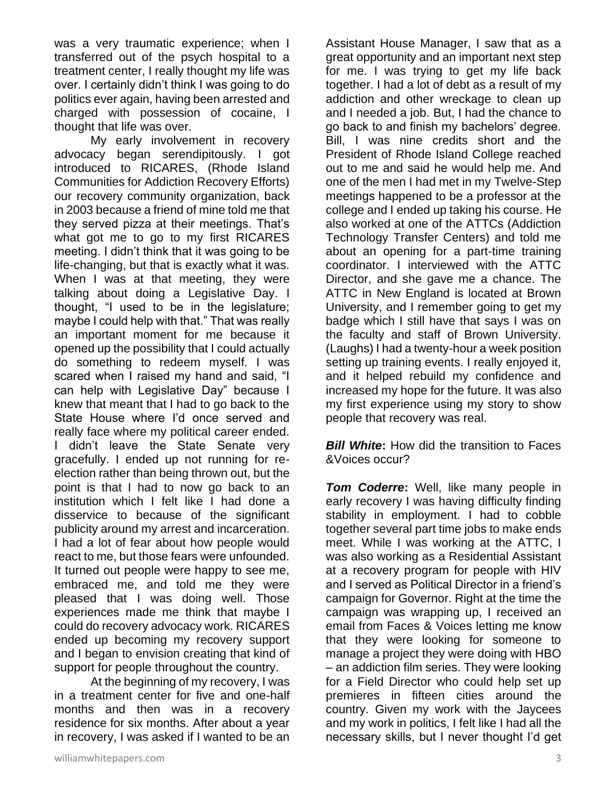was a very traumatic experience; when I transferred out of the psych hospital to a treatment center, I really thought my life was over. I certainly didn't think I was going to do politics ever again, having been arrested and charged with possession of cocaine, I thought that life was over.

My early involvement in recovery advocacy began serendipitously. I got introduced to RICARES, (Rhode Island Communities for Addiction Recovery Efforts) our recovery community organization, back in 2003 because a friend of mine told me that they served pizza at their meetings. That's what got me to go to my first RICARES meeting. I didn't think that it was going to be life-changing, but that is exactly what it was. When I was at that meeting, they were talking about doing a Legislative Day. I thought, "I used to be in the legislature; maybe I could help with that." That was really an important moment for me because it opened up the possibility that I could actually do something to redeem myself. I was scared when I raised my hand and said, "I can help with Legislative Day" because I knew that meant that I had to go back to the State House where I'd once served and really face where my political career ended. I didn't leave the State Senate very gracefully. I ended up not running for reelection rather than being thrown out, but the point is that I had to now go back to an institution which I felt like I had done a disservice to because of the significant publicity around my arrest and incarceration. I had a lot of fear about how people would react to me, but those fears were unfounded. It turned out people were happy to see me, embraced me, and told me they were pleased that I was doing well. Those experiences made me think that maybe I could do recovery advocacy work. RICARES ended up becoming my recovery support and I began to envision creating that kind of support for people throughout the country.

At the beginning of my recovery, I was in a treatment center for five and one-half months and then was in a recovery residence for six months. After about a year in recovery, I was asked if I wanted to be an

Assistant House Manager, I saw that as a great opportunity and an important next step for me. I was trying to get my life back together. I had a lot of debt as a result of my addiction and other wreckage to clean up and I needed a job. But, I had the chance to go back to and finish my bachelors' degree. Bill, I was nine credits short and the President of Rhode Island College reached out to me and said he would help me. And one of the men I had met in my Twelve-Step meetings happened to be a professor at the college and I ended up taking his course. He also worked at one of the ATTCs (Addiction Technology Transfer Centers) and told me about an opening for a part-time training coordinator. I interviewed with the ATTC Director, and she gave me a chance. The ATTC in New England is located at Brown University, and I remember going to get my badge which I still have that says I was on the faculty and staff of Brown University. (Laughs) I had a twenty-hour a week position setting up training events. I really enjoyed it, and it helped rebuild my confidence and increased my hope for the future. It was also my first experience using my story to show people that recovery was real.

*Bill White:* How did the transition to Faces &Voices occur?

*Tom Coderre***:** Well, like many people in early recovery I was having difficulty finding stability in employment. I had to cobble together several part time jobs to make ends meet. While I was working at the ATTC, I was also working as a Residential Assistant at a recovery program for people with HIV and I served as Political Director in a friend's campaign for Governor. Right at the time the campaign was wrapping up, I received an email from Faces & Voices letting me know that they were looking for someone to manage a project they were doing with HBO – an addiction film series. They were looking for a Field Director who could help set up premieres in fifteen cities around the country. Given my work with the Jaycees and my work in politics, I felt like I had all the necessary skills, but I never thought I'd get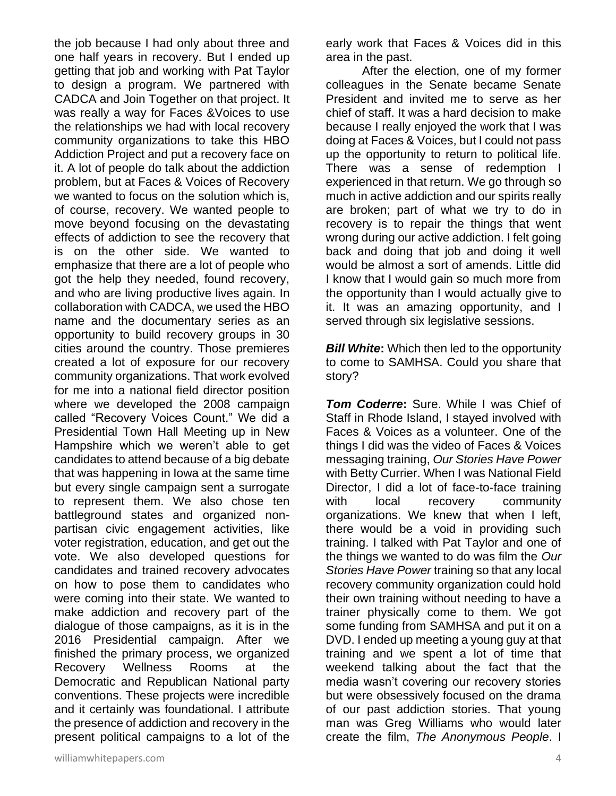the job because I had only about three and one half years in recovery. But I ended up getting that job and working with Pat Taylor to design a program. We partnered with CADCA and Join Together on that project. It was really a way for Faces &Voices to use the relationships we had with local recovery community organizations to take this HBO Addiction Project and put a recovery face on it. A lot of people do talk about the addiction problem, but at Faces & Voices of Recovery we wanted to focus on the solution which is, of course, recovery. We wanted people to move beyond focusing on the devastating effects of addiction to see the recovery that is on the other side. We wanted to emphasize that there are a lot of people who got the help they needed, found recovery, and who are living productive lives again. In collaboration with CADCA, we used the HBO name and the documentary series as an opportunity to build recovery groups in 30 cities around the country. Those premieres created a lot of exposure for our recovery community organizations. That work evolved for me into a national field director position where we developed the 2008 campaign called "Recovery Voices Count." We did a Presidential Town Hall Meeting up in New Hampshire which we weren't able to get candidates to attend because of a big debate that was happening in Iowa at the same time but every single campaign sent a surrogate to represent them. We also chose ten battleground states and organized nonpartisan civic engagement activities, like voter registration, education, and get out the vote. We also developed questions for candidates and trained recovery advocates on how to pose them to candidates who were coming into their state. We wanted to make addiction and recovery part of the dialogue of those campaigns, as it is in the 2016 Presidential campaign. After we finished the primary process, we organized Recovery Wellness Rooms at the Democratic and Republican National party conventions. These projects were incredible and it certainly was foundational. I attribute the presence of addiction and recovery in the present political campaigns to a lot of the

early work that Faces & Voices did in this area in the past.

After the election, one of my former colleagues in the Senate became Senate President and invited me to serve as her chief of staff. It was a hard decision to make because I really enjoyed the work that I was doing at Faces & Voices, but I could not pass up the opportunity to return to political life. There was a sense of redemption I experienced in that return. We go through so much in active addiction and our spirits really are broken; part of what we try to do in recovery is to repair the things that went wrong during our active addiction. I felt going back and doing that job and doing it well would be almost a sort of amends. Little did I know that I would gain so much more from the opportunity than I would actually give to it. It was an amazing opportunity, and I served through six legislative sessions.

*Bill White:* Which then led to the opportunity to come to SAMHSA. Could you share that story?

*Tom Coderre***:** Sure. While I was Chief of Staff in Rhode Island, I stayed involved with Faces & Voices as a volunteer. One of the things I did was the video of Faces & Voices messaging training, *Our Stories Have Power* with Betty Currier. When I was National Field Director, I did a lot of face-to-face training with local recovery community organizations. We knew that when I left, there would be a void in providing such training. I talked with Pat Taylor and one of the things we wanted to do was film the *Our Stories Have Power* training so that any local recovery community organization could hold their own training without needing to have a trainer physically come to them. We got some funding from SAMHSA and put it on a DVD. I ended up meeting a young guy at that training and we spent a lot of time that weekend talking about the fact that the media wasn't covering our recovery stories but were obsessively focused on the drama of our past addiction stories. That young man was Greg Williams who would later create the film, *The Anonymous People*. I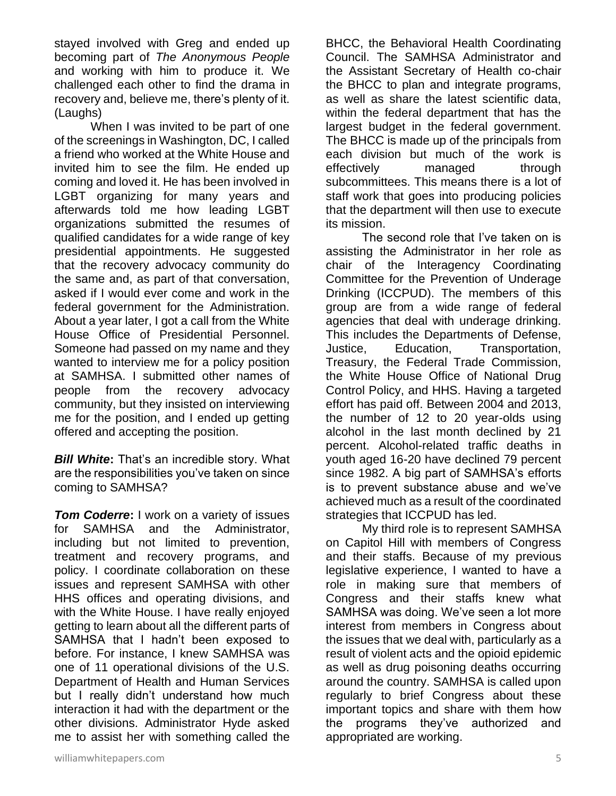stayed involved with Greg and ended up becoming part of *The Anonymous People* and working with him to produce it. We challenged each other to find the drama in recovery and, believe me, there's plenty of it. (Laughs)

When I was invited to be part of one of the screenings in Washington, DC, I called a friend who worked at the White House and invited him to see the film. He ended up coming and loved it. He has been involved in LGBT organizing for many years and afterwards told me how leading LGBT organizations submitted the resumes of qualified candidates for a wide range of key presidential appointments. He suggested that the recovery advocacy community do the same and, as part of that conversation, asked if I would ever come and work in the federal government for the Administration. About a year later, I got a call from the White House Office of Presidential Personnel. Someone had passed on my name and they wanted to interview me for a policy position at SAMHSA. I submitted other names of people from the recovery advocacy community, but they insisted on interviewing me for the position, and I ended up getting offered and accepting the position.

*Bill White***:** That's an incredible story. What are the responsibilities you've taken on since coming to SAMHSA?

**Tom Coderre:** I work on a variety of issues for SAMHSA and the Administrator, including but not limited to prevention, treatment and recovery programs, and policy. I coordinate collaboration on these issues and represent SAMHSA with other HHS offices and operating divisions, and with the White House. I have really enjoyed getting to learn about all the different parts of SAMHSA that I hadn't been exposed to before. For instance, I knew SAMHSA was one of 11 operational divisions of the U.S. Department of Health and Human Services but I really didn't understand how much interaction it had with the department or the other divisions. Administrator Hyde asked me to assist her with something called the

BHCC, the Behavioral Health Coordinating Council. The SAMHSA Administrator and the Assistant Secretary of Health co-chair the BHCC to plan and integrate programs, as well as share the latest scientific data, within the federal department that has the largest budget in the federal government. The BHCC is made up of the principals from each division but much of the work is effectively managed through subcommittees. This means there is a lot of staff work that goes into producing policies that the department will then use to execute its mission.

The second role that I've taken on is assisting the Administrator in her role as chair of the Interagency Coordinating Committee for the Prevention of Underage Drinking (ICCPUD). The members of this group are from a wide range of federal agencies that deal with underage drinking. This includes the Departments of Defense, Justice, Education, Transportation, Treasury, the Federal Trade Commission, the White House Office of National Drug Control Policy, and HHS. Having a targeted effort has paid off. Between 2004 and 2013, the number of 12 to 20 year-olds using alcohol in the last month declined by 21 percent. Alcohol-related traffic deaths in youth aged 16-20 have declined 79 percent since 1982. A big part of SAMHSA's efforts is to prevent substance abuse and we've achieved much as a result of the coordinated strategies that ICCPUD has led.

My third role is to represent SAMHSA on Capitol Hill with members of Congress and their staffs. Because of my previous legislative experience, I wanted to have a role in making sure that members of Congress and their staffs knew what SAMHSA was doing. We've seen a lot more interest from members in Congress about the issues that we deal with, particularly as a result of violent acts and the opioid epidemic as well as drug poisoning deaths occurring around the country. SAMHSA is called upon regularly to brief Congress about these important topics and share with them how the programs they've authorized and appropriated are working.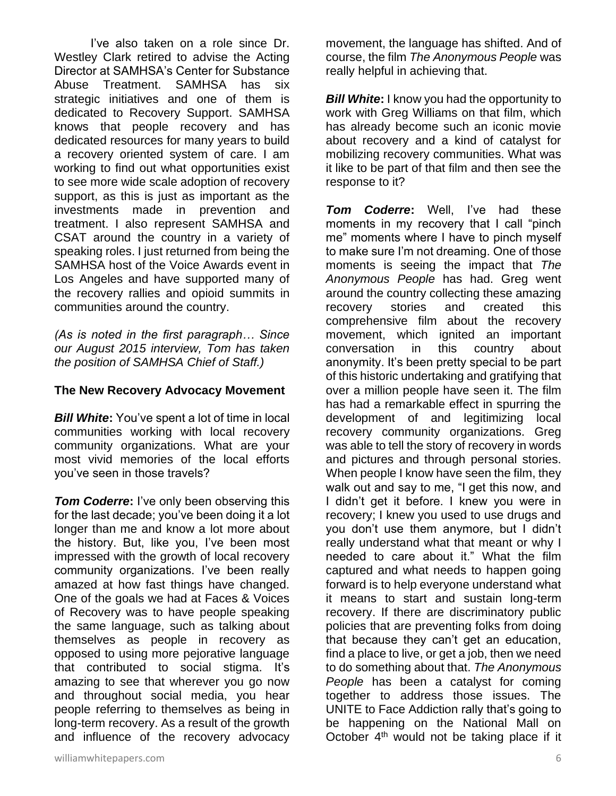I've also taken on a role since Dr. Westley Clark retired to advise the Acting Director at SAMHSA's Center for Substance Abuse Treatment. SAMHSA has six strategic initiatives and one of them is dedicated to Recovery Support. SAMHSA knows that people recovery and has dedicated resources for many years to build a recovery oriented system of care. I am working to find out what opportunities exist to see more wide scale adoption of recovery support, as this is just as important as the investments made in prevention and treatment. I also represent SAMHSA and CSAT around the country in a variety of speaking roles. I just returned from being the SAMHSA host of the Voice Awards event in Los Angeles and have supported many of the recovery rallies and opioid summits in communities around the country.

*(As is noted in the first paragraph… Since our August 2015 interview, Tom has taken the position of SAMHSA Chief of Staff.)*

#### **The New Recovery Advocacy Movement**

*Bill White***:** You've spent a lot of time in local communities working with local recovery community organizations. What are your most vivid memories of the local efforts you've seen in those travels?

*Tom Coderre***:** I've only been observing this for the last decade; you've been doing it a lot longer than me and know a lot more about the history. But, like you, I've been most impressed with the growth of local recovery community organizations. I've been really amazed at how fast things have changed. One of the goals we had at Faces & Voices of Recovery was to have people speaking the same language, such as talking about themselves as people in recovery as opposed to using more pejorative language that contributed to social stigma. It's amazing to see that wherever you go now and throughout social media, you hear people referring to themselves as being in long-term recovery. As a result of the growth and influence of the recovery advocacy movement, the language has shifted. And of course, the film *The Anonymous People* was really helpful in achieving that.

**Bill White:** I know you had the opportunity to work with Greg Williams on that film, which has already become such an iconic movie about recovery and a kind of catalyst for mobilizing recovery communities. What was it like to be part of that film and then see the response to it?

*Tom Coderre***:** Well, I've had these moments in my recovery that I call "pinch me" moments where I have to pinch myself to make sure I'm not dreaming. One of those moments is seeing the impact that *The Anonymous People* has had. Greg went around the country collecting these amazing recovery stories and created this comprehensive film about the recovery movement, which ignited an important conversation in this country about anonymity. It's been pretty special to be part of this historic undertaking and gratifying that over a million people have seen it. The film has had a remarkable effect in spurring the development of and legitimizing local recovery community organizations. Greg was able to tell the story of recovery in words and pictures and through personal stories. When people I know have seen the film, they walk out and say to me, "I get this now, and I didn't get it before. I knew you were in recovery; I knew you used to use drugs and you don't use them anymore, but I didn't really understand what that meant or why I needed to care about it." What the film captured and what needs to happen going forward is to help everyone understand what it means to start and sustain long-term recovery. If there are discriminatory public policies that are preventing folks from doing that because they can't get an education, find a place to live, or get a job, then we need to do something about that. *The Anonymous People* has been a catalyst for coming together to address those issues. The UNITE to Face Addiction rally that's going to be happening on the National Mall on October  $4<sup>th</sup>$  would not be taking place if it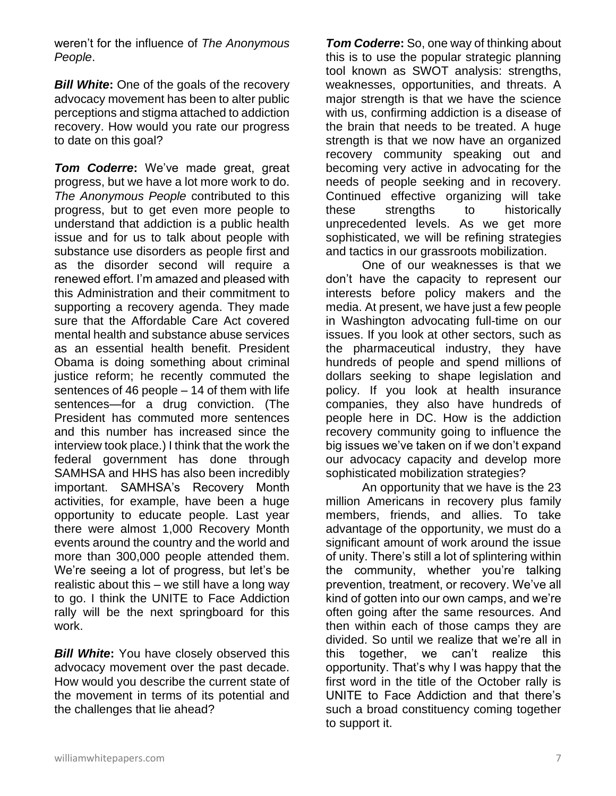weren't for the influence of *The Anonymous People*.

*Bill White***:** One of the goals of the recovery advocacy movement has been to alter public perceptions and stigma attached to addiction recovery. How would you rate our progress to date on this goal?

*Tom Coderre***:** We've made great, great progress, but we have a lot more work to do. *The Anonymous People* contributed to this progress, but to get even more people to understand that addiction is a public health issue and for us to talk about people with substance use disorders as people first and as the disorder second will require a renewed effort. I'm amazed and pleased with this Administration and their commitment to supporting a recovery agenda. They made sure that the Affordable Care Act covered mental health and substance abuse services as an essential health benefit. President Obama is doing something about criminal justice reform; he recently commuted the sentences of 46 people – 14 of them with life sentences—for a drug conviction. (The President has commuted more sentences and this number has increased since the interview took place.) I think that the work the federal government has done through SAMHSA and HHS has also been incredibly important. SAMHSA's Recovery Month activities, for example, have been a huge opportunity to educate people. Last year there were almost 1,000 Recovery Month events around the country and the world and more than 300,000 people attended them. We're seeing a lot of progress, but let's be realistic about this – we still have a long way to go. I think the UNITE to Face Addiction rally will be the next springboard for this work.

*Bill White***:** You have closely observed this advocacy movement over the past decade. How would you describe the current state of the movement in terms of its potential and the challenges that lie ahead?

*Tom Coderre***:** So, one way of thinking about this is to use the popular strategic planning tool known as SWOT analysis: strengths, weaknesses, opportunities, and threats. A major strength is that we have the science with us, confirming addiction is a disease of the brain that needs to be treated. A huge strength is that we now have an organized recovery community speaking out and becoming very active in advocating for the needs of people seeking and in recovery. Continued effective organizing will take these strengths to historically unprecedented levels. As we get more sophisticated, we will be refining strategies and tactics in our grassroots mobilization.

One of our weaknesses is that we don't have the capacity to represent our interests before policy makers and the media. At present, we have just a few people in Washington advocating full-time on our issues. If you look at other sectors, such as the pharmaceutical industry, they have hundreds of people and spend millions of dollars seeking to shape legislation and policy. If you look at health insurance companies, they also have hundreds of people here in DC. How is the addiction recovery community going to influence the big issues we've taken on if we don't expand our advocacy capacity and develop more sophisticated mobilization strategies?

An opportunity that we have is the 23 million Americans in recovery plus family members, friends, and allies. To take advantage of the opportunity, we must do a significant amount of work around the issue of unity. There's still a lot of splintering within the community, whether you're talking prevention, treatment, or recovery. We've all kind of gotten into our own camps, and we're often going after the same resources. And then within each of those camps they are divided. So until we realize that we're all in this together, we can't realize this opportunity. That's why I was happy that the first word in the title of the October rally is UNITE to Face Addiction and that there's such a broad constituency coming together to support it.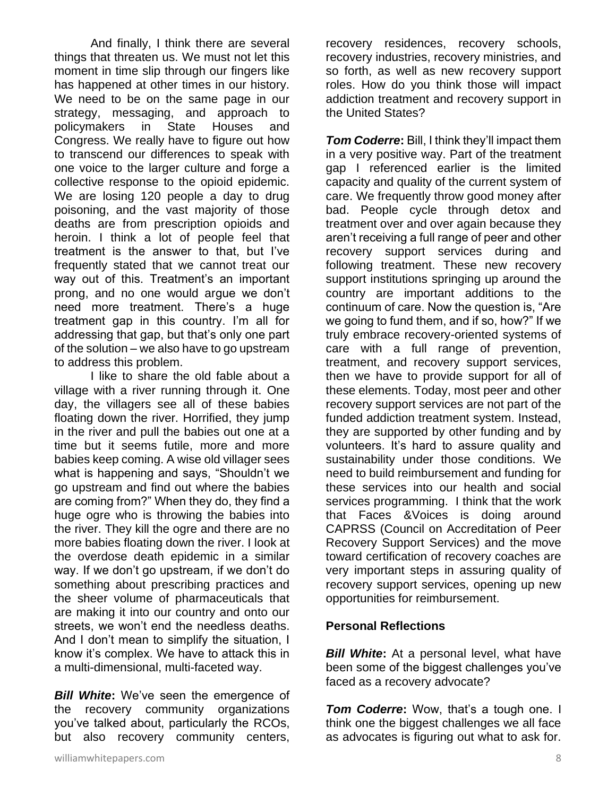And finally, I think there are several things that threaten us. We must not let this moment in time slip through our fingers like has happened at other times in our history. We need to be on the same page in our strategy, messaging, and approach to policymakers in State Houses and Congress. We really have to figure out how to transcend our differences to speak with one voice to the larger culture and forge a collective response to the opioid epidemic. We are losing 120 people a day to drug poisoning, and the vast majority of those deaths are from prescription opioids and heroin. I think a lot of people feel that treatment is the answer to that, but I've frequently stated that we cannot treat our way out of this. Treatment's an important prong, and no one would argue we don't need more treatment. There's a huge treatment gap in this country. I'm all for addressing that gap, but that's only one part of the solution – we also have to go upstream to address this problem.

I like to share the old fable about a village with a river running through it. One day, the villagers see all of these babies floating down the river. Horrified, they jump in the river and pull the babies out one at a time but it seems futile, more and more babies keep coming. A wise old villager sees what is happening and says, "Shouldn't we go upstream and find out where the babies are coming from?" When they do, they find a huge ogre who is throwing the babies into the river. They kill the ogre and there are no more babies floating down the river. I look at the overdose death epidemic in a similar way. If we don't go upstream, if we don't do something about prescribing practices and the sheer volume of pharmaceuticals that are making it into our country and onto our streets, we won't end the needless deaths. And I don't mean to simplify the situation, I know it's complex. We have to attack this in a multi-dimensional, multi-faceted way.

*Bill White:* We've seen the emergence of the recovery community organizations you've talked about, particularly the RCOs, but also recovery community centers,

recovery residences, recovery schools, recovery industries, recovery ministries, and so forth, as well as new recovery support roles. How do you think those will impact addiction treatment and recovery support in the United States?

*Tom Coderre***:** Bill, I think they'll impact them in a very positive way. Part of the treatment gap I referenced earlier is the limited capacity and quality of the current system of care. We frequently throw good money after bad. People cycle through detox and treatment over and over again because they aren't receiving a full range of peer and other recovery support services during and following treatment. These new recovery support institutions springing up around the country are important additions to the continuum of care. Now the question is, "Are we going to fund them, and if so, how?" If we truly embrace recovery-oriented systems of care with a full range of prevention, treatment, and recovery support services, then we have to provide support for all of these elements. Today, most peer and other recovery support services are not part of the funded addiction treatment system. Instead, they are supported by other funding and by volunteers. It's hard to assure quality and sustainability under those conditions. We need to build reimbursement and funding for these services into our health and social services programming. I think that the work that Faces &Voices is doing around CAPRSS (Council on Accreditation of Peer Recovery Support Services) and the move toward certification of recovery coaches are very important steps in assuring quality of recovery support services, opening up new opportunities for reimbursement.

### **Personal Reflections**

*Bill White***:** At a personal level, what have been some of the biggest challenges you've faced as a recovery advocate?

*Tom Coderre:* Wow, that's a tough one. I think one the biggest challenges we all face as advocates is figuring out what to ask for.